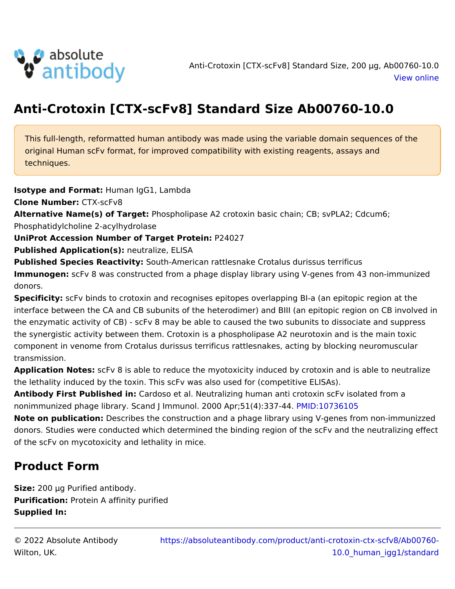## Anti-Crotoxin [CTX-scFv8] Standard Size Ab00760.

This full-length, reformatted human antibody was made using the variable do original Human scFv format, for improved compatibility with existing reagents techniques.

Isotype and FormHatman IgG1, Lambda

Clone NumbeC: TX-scFv8

Alternative Name(s) of TaPhgespholipase A2 crotoxin basic chain; CB; svPLA2; C Phosphatidylcholine 2-acylhydrolase

UniProt Accession Number of Target P2402in:

Published Applicatiom(esu)tralize, ELISA

Published Species ReactS with-American rattlesnake Crotalus durissus terrificus ImmunogenscFv 8 was constructed from a phage display library using V-genes f donors.

Specificits: Fv binds to crotoxin and recognises epitopes overlapping BI-a (an e interface between the CA and CB subunits of the heterodimer) and BIII (an epit the enzymatic activity of CB) - scFv 8 may be able to caused the two subunits the synergistic activity between them. Crotoxin is a phospholipase A2 neurotox component in venome from Crotalus durissus terrificus rattlesnakes, acting by transmission.

Application NotesFv 8 is able to reduce the myotoxicity induced by crotoxin an the lethality induced by the toxin. This scFv was also used for (competitive EL Antibody First Publishe Cdaird: oso et al. Neutralizing human anti crotoxin scFv isc nonimmunized phage library. Scand J Immunol. 2000 MAD pr;15017(316):130357 - 44.

Note on publicati **Describes the construction and a phage library using V-genes** donors. Studies were conducted which determined the binding region of the scF of the scFv on mycotoxicity and lethality in mice.

## Product Form

Size: 200 ¼g Purified antibody. Purification: rotein A affinity purified Supplied In:

© 2022 Absolute Antibody [https://absoluteantibody.com/product/anti-crotoxin](https://absoluteantibody.com/product/anti-crotoxin-ctx-scfv8/Ab00760-10.0_human_igg1/standard)-ct Wilton, UK. [10.0\\_human\\_igg1/s](https://absoluteantibody.com/product/anti-crotoxin-ctx-scfv8/Ab00760-10.0_human_igg1/standard)tan